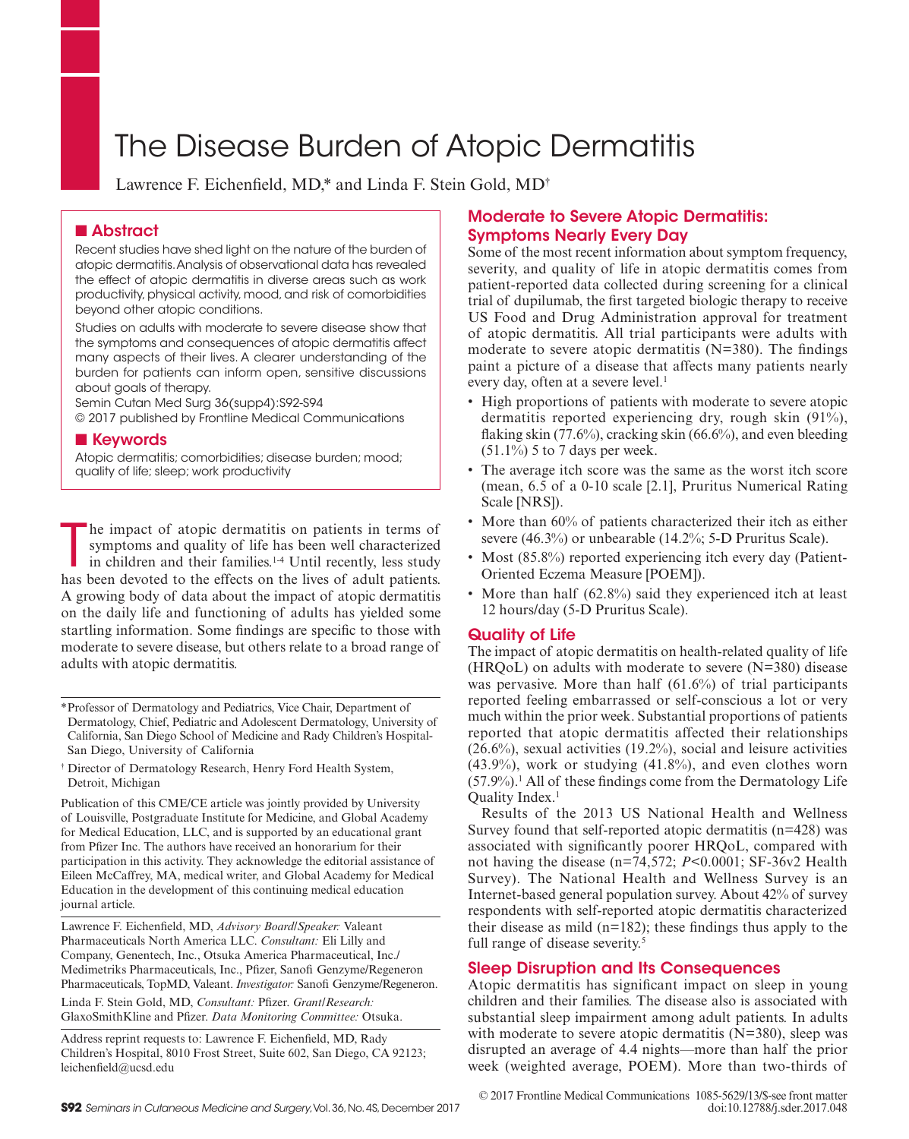# The Disease Burden of Atopic Dermatitis

Lawrence F. Eichenfeld, MD,\* and Linda F. Stein Gold, MD†

## ■ Abstract

Recent studies have shed light on the nature of the burden of atopic dermatitis. Analysis of observational data has revealed the effect of atopic dermatitis in diverse areas such as work productivity, physical activity, mood, and risk of comorbidities beyond other atopic conditions.

Studies on adults with moderate to severe disease show that the symptoms and consequences of atopic dermatitis affect many aspects of their lives. A clearer understanding of the burden for patients can inform open, sensitive discussions about goals of therapy.

Semin Cutan Med Surg 36(supp4):S92-S94

© 2017 published by Frontline Medical Communications

## ■ Keywords

Atopic dermatitis; comorbidities; disease burden; mood; quality of life; sleep; work productivity

The impact of atopic dermatitis on patients in terms of symptoms and quality of life has been well characterized in children and their families.<sup>1.4</sup> Until recently, less study has been devoted to the effects on the lives he impact of atopic dermatitis on patients in terms of symptoms and quality of life has been well characterized in children and their families.<sup>1-4</sup> Until recently, less study A growing body of data about the impact of atopic dermatitis on the daily life and functioning of adults has yielded some startling information. Some fndings are specifc to those with moderate to severe disease, but others relate to a broad range of adults with atopic dermatitis.

Publication of this CME/CE article was jointly provided by University of Louisville, Postgraduate Institute for Medicine, and Global Academy for Medical Education, LLC, and is supported by an educational grant from Pfzer Inc. The authors have received an honorarium for their participation in this activity. They acknowledge the editorial assistance of Eileen McCaffrey, MA, medical writer, and Global Academy for Medical Education in the development of this continuing medical education journal article.

Lawrence F. Eichenfeld, MD, *Advisory Board/Speaker:* Valeant Pharmaceuticals North America LLC. *Consultant:* Eli Lilly and Company, Genentech, Inc., Otsuka America Pharmaceutical, Inc./ Medimetriks Pharmaceuticals, Inc., Pfizer, Sanofi Genzyme/Regeneron Pharmaceuticals, TopMD, Valeant. *Investigator:* Sanofi Genzyme/Regeneron.

Linda F. Stein Gold, MD, *Consultant:* Pfzer. *Grant/Research:* GlaxoSmithKline and Pfzer. *Data Monitoring Committee:* Otsuka.

Address reprint requests to: Lawrence F. Eichenfeld, MD, Rady Children's Hospital, 8010 Frost Street, Suite 602, San Diego, CA 92123; leichenfeld@ucsd.edu

# Moderate to Severe Atopic Dermatitis: Symptoms Nearly Every Day

Some of the most recent information about symptom frequency, severity, and quality of life in atopic dermatitis comes from patient-reported data collected during screening for a clinical trial of dupilumab, the frst targeted biologic therapy to receive US Food and Drug Administration approval for treatment of atopic dermatitis. All trial participants were adults with moderate to severe atopic dermatitis (N=380). The findings paint a picture of a disease that affects many patients nearly every day, often at a severe level.<sup>1</sup>

- High proportions of patients with moderate to severe atopic dermatitis reported experiencing dry, rough skin (91%), flaking skin (77.6%), cracking skin (66.6%), and even bleeding  $(51.1\%)$  5 to 7 days per week.
- The average itch score was the same as the worst itch score (mean, 6.5 of a 0-10 scale [2.1], Pruritus Numerical Rating Scale [NRS]).
- More than 60% of patients characterized their itch as either severe (46.3%) or unbearable (14.2%; 5-D Pruritus Scale).
- Most (85.8%) reported experiencing itch every day (Patient-Oriented Eczema Measure [POEM]).
- More than half (62.8%) said they experienced itch at least 12 hours/day (5-D Pruritus Scale).

## Quality of Life

The impact of atopic dermatitis on health-related quality of life  $(HRQoL)$  on adults with moderate to severe  $(N=380)$  disease was pervasive. More than half (61.6%) of trial participants reported feeling embarrassed or self-conscious a lot or very much within the prior week. Substantial proportions of patients reported that atopic dermatitis affected their relationships (26.6%), sexual activities (19.2%), social and leisure activities (43.9%), work or studying (41.8%), and even clothes worn  $(57.9\%)$ .<sup>1</sup> All of these findings come from the Dermatology Life Ouality Index.<sup>1</sup>

Results of the 2013 US National Health and Wellness Survey found that self-reported atopic dermatitis (n=428) was associated with signifcantly poorer HRQoL, compared with not having the disease (n=74,572; *P*<0.0001; SF-36v2 Health Survey). The National Health and Wellness Survey is an Internet-based general population survey. About 42% of survey respondents with self-reported atopic dermatitis characterized their disease as mild (n=182); these fndings thus apply to the full range of disease severity.<sup>5</sup>

## Sleep Disruption and Its Consequences

Atopic dermatitis has signifcant impact on sleep in young children and their families. The disease also is associated with substantial sleep impairment among adult patients. In adults with moderate to severe atopic dermatitis (N=380), sleep was disrupted an average of 4.4 nights—more than half the prior week (weighted average, POEM). More than two-thirds of

<sup>\*</sup>Professor of Dermatology and Pediatrics, Vice Chair, Department of Dermatology, Chief, Pediatric and Adolescent Dermatology, University of California, San Diego School of Medicine and Rady Children's Hospital-San Diego, University of California

<sup>†</sup> Director of Dermatology Research, Henry Ford Health System, Detroit, Michigan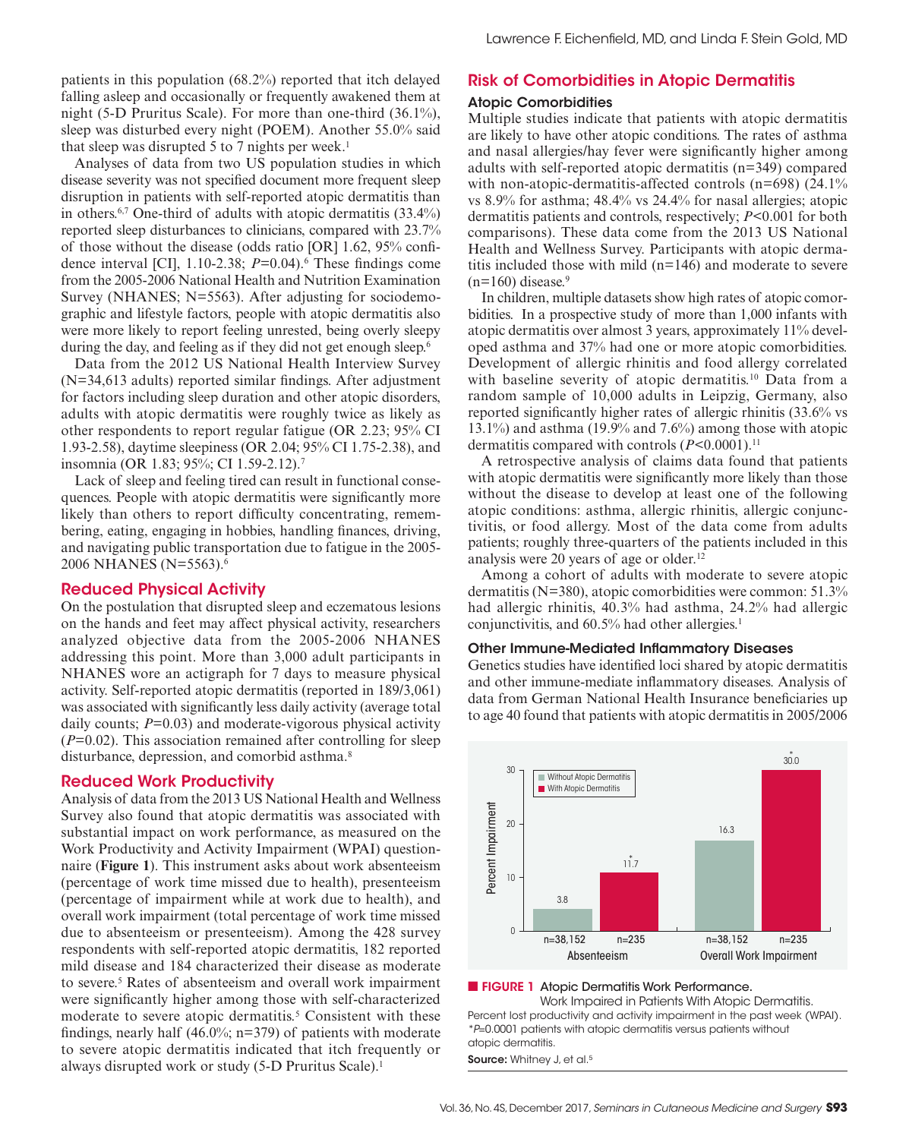patients in this population (68.2%) reported that itch delayed falling asleep and occasionally or frequently awakened them at night (5-D Pruritus Scale). For more than one-third (36.1%), sleep was disturbed every night (POEM). Another 55.0% said that sleep was disrupted 5 to 7 nights per week.<sup>1</sup>

Analyses of data from two US population studies in which disease severity was not specifed document more frequent sleep disruption in patients with self-reported atopic dermatitis than in others.6,7 One-third of adults with atopic dermatitis (33.4%) reported sleep disturbances to clinicians, compared with 23.7% of those without the disease (odds ratio [OR] 1.62, 95% confdence interval [CI], 1.10-2.38; *P*=0.04).6 These fndings come from the 2005-2006 National Health and Nutrition Examination Survey (NHANES; N=5563). After adjusting for sociodemographic and lifestyle factors, people with atopic dermatitis also were more likely to report feeling unrested, being overly sleepy during the day, and feeling as if they did not get enough sleep.<sup>6</sup>

Data from the 2012 US National Health Interview Survey (N=34,613 adults) reported similar fndings. After adjustment for factors including sleep duration and other atopic disorders, adults with atopic dermatitis were roughly twice as likely as other respondents to report regular fatigue (OR 2.23; 95% CI 1.93-2.58), daytime sleepiness (OR 2.04; 95% CI 1.75-2.38), and insomnia (OR 1.83; 95%; CI 1.59-2.12).7

Lack of sleep and feeling tired can result in functional consequences. People with atopic dermatitis were signifcantly more likely than others to report difficulty concentrating, remembering, eating, engaging in hobbies, handling fnances, driving, and navigating public transportation due to fatigue in the 2005- 2006 NHANES (N=5563).6

## Reduced Physical Activity

On the postulation that disrupted sleep and eczematous lesions on the hands and feet may affect physical activity, researchers analyzed objective data from the 2005-2006 NHANES addressing this point. More than 3,000 adult participants in NHANES wore an actigraph for 7 days to measure physical activity. Self-reported atopic dermatitis (reported in 189/3,061) was associated with signifcantly less daily activity (average total daily counts;  $P=0.03$ ) and moderate-vigorous physical activity (*P*=0.02). This association remained after controlling for sleep disturbance, depression, and comorbid asthma.8

## Reduced Work Productivity

Analysis of data from the 2013 US National Health and Wellness Survey also found that atopic dermatitis was associated with substantial impact on work performance, as measured on the Work Productivity and Activity Impairment (WPAI) questionnaire (**Figure 1**). This instrument asks about work absenteeism (percentage of work time missed due to health), presenteeism (percentage of impairment while at work due to health), and overall work impairment (total percentage of work time missed due to absenteeism or presenteeism). Among the 428 survey respondents with self-reported atopic dermatitis, 182 reported mild disease and 184 characterized their disease as moderate to severe.5 Rates of absenteeism and overall work impairment were signifcantly higher among those with self-characterized moderate to severe atopic dermatitis.<sup>5</sup> Consistent with these findings, nearly half  $(46.0\%; n=379)$  of patients with moderate to severe atopic dermatitis indicated that itch frequently or always disrupted work or study (5-D Pruritus Scale).1

## Risk of Comorbidities in Atopic Dermatitis

#### Atopic Comorbidities

Multiple studies indicate that patients with atopic dermatitis are likely to have other atopic conditions. The rates of asthma and nasal allergies/hay fever were signifcantly higher among adults with self-reported atopic dermatitis (n=349) compared with non-atopic-dermatitis-affected controls (n=698) (24.1%) vs 8.9% for asthma; 48.4% vs 24.4% for nasal allergies; atopic dermatitis patients and controls, respectively; *P*<0.001 for both comparisons). These data come from the 2013 US National Health and Wellness Survey. Participants with atopic dermatitis included those with mild (n=146) and moderate to severe  $(n=160)$  disease.<sup>9</sup>

In children, multiple datasets show high rates of atopic comorbidities. In a prospective study of more than 1,000 infants with atopic dermatitis over almost 3 years, approximately 11% developed asthma and 37% had one or more atopic comorbidities. Development of allergic rhinitis and food allergy correlated with baseline severity of atopic dermatitis.10 Data from a random sample of 10,000 adults in Leipzig, Germany, also reported signifcantly higher rates of allergic rhinitis (33.6% vs 13.1%) and asthma (19.9% and 7.6%) among those with atopic dermatitis compared with controls ( $P<0.0001$ ).<sup>11</sup>

A retrospective analysis of claims data found that patients with atopic dermatitis were significantly more likely than those without the disease to develop at least one of the following atopic conditions: asthma, allergic rhinitis, allergic conjunctivitis, or food allergy. Most of the data come from adults patients; roughly three-quarters of the patients included in this analysis were 20 years of age or older.12

Among a cohort of adults with moderate to severe atopic dermatitis (N=380), atopic comorbidities were common: 51.3% had allergic rhinitis, 40.3% had asthma, 24.2% had allergic conjunctivitis, and 60.5% had other allergies.<sup>1</sup>

#### Other Immune-Mediated Inflammatory Diseases

Genetics studies have identifed loci shared by atopic dermatitis and other immune-mediate infammatory diseases. Analysis of data from German National Health Insurance benefciaries up to age 40 found that patients with atopic dermatitis in 2005/2006



#### ■ FIGURE 1 Atopic Dermatitis Work Performance.

Work Impaired in Patients With Atopic Dermatitis. Percent lost productivity and activity impairment in the past week (WPAI). \*P=0.0001 patients with atopic dermatitis versus patients without atopic dermatitis.

Source: Whitney J, et al.<sup>5</sup>